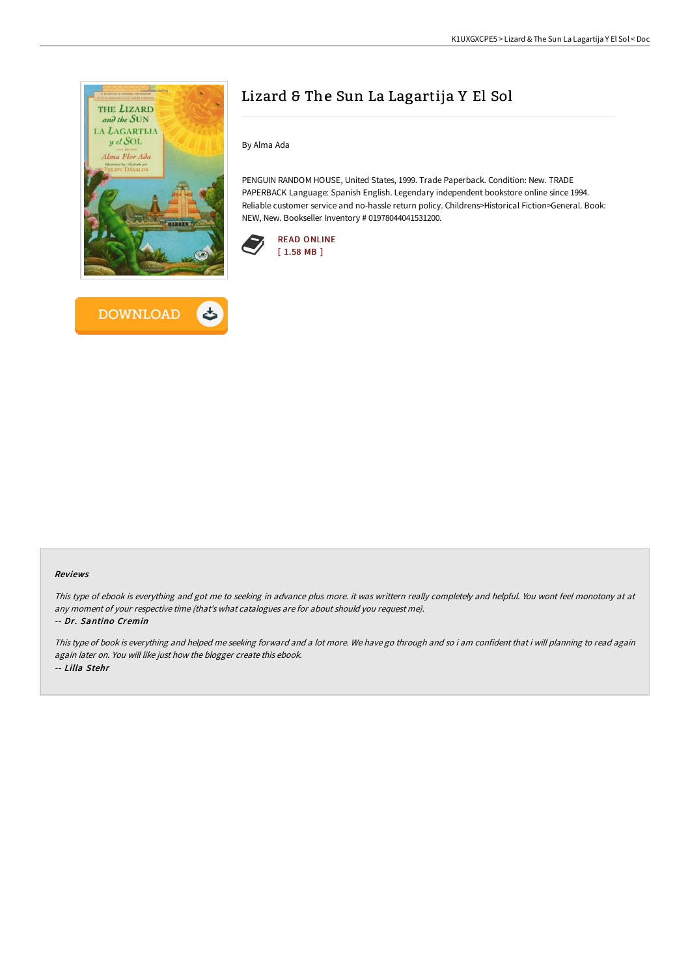

**DOWNLOAD** 

## Lizard & The Sun La Lagartija Y El Sol

By Alma Ada

PENGUIN RANDOM HOUSE, United States, 1999. Trade Paperback. Condition: New. TRADE PAPERBACK Language: Spanish English. Legendary independent bookstore online since 1994. Reliable customer service and no-hassle return policy. Childrens>Historical Fiction>General. Book: NEW, New. Bookseller Inventory # 01978044041531200.





This type of ebook is everything and got me to seeking in advance plus more. it was writtern really completely and helpful. You wont feel monotony at at any moment of your respective time (that's what catalogues are for about should you request me).

## -- Dr. Santino Cremin

This type of book is everything and helped me seeking forward and a lot more. We have go through and so i am confident that i will planning to read again again later on. You will like just how the blogger create this ebook. -- Lilla Stehr